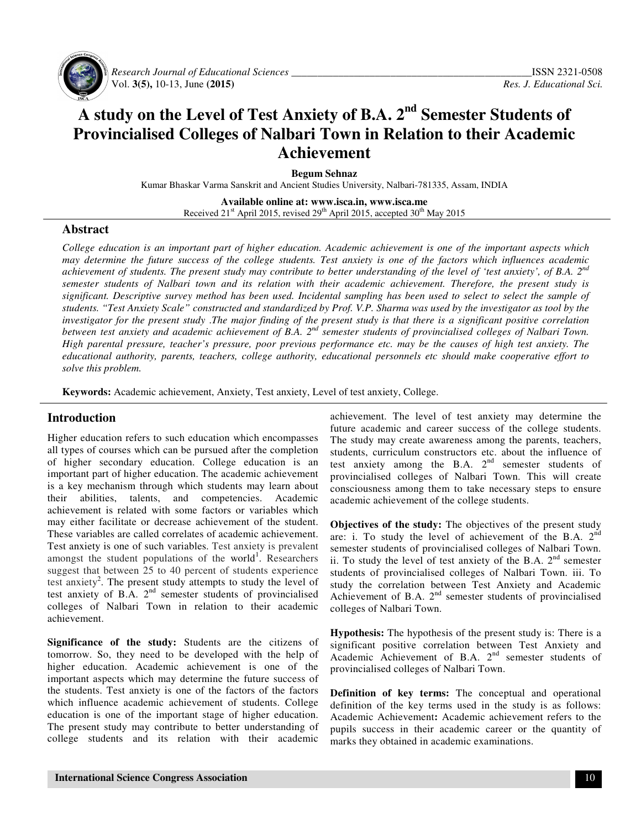

 *Research Journal of Educational Sciences \_\_\_\_\_\_\_\_\_\_\_\_\_\_\_\_\_\_\_\_\_\_\_\_\_\_\_\_\_\_\_\_\_\_\_\_\_\_\_\_\_\_\_\_\_\_*ISSN 2321-0508 Vol. **3(5),** 10-13, June **(2015)** *Res. J. Educational Sci.*

# **A study on the Level of Test Anxiety of B.A. 2nd Semester Students of Provincialised Colleges of Nalbari Town in Relation to their Academic Achievement**

**Begum Sehnaz** 

Kumar Bhaskar Varma Sanskrit and Ancient Studies University, Nalbari-781335, Assam, INDIA

**Available online at: www.isca.in, www.isca.me**  Received  $21<sup>st</sup>$  April 2015, revised  $29<sup>th</sup>$  April 2015, accepted 30<sup>th</sup> May 2015

### **Abstract**

*College education is an important part of higher education. Academic achievement is one of the important aspects which may determine the future success of the college students. Test anxiety is one of the factors which influences academic achievement of students. The present study may contribute to better understanding of the level of 'test anxiety', of B.A. 2nd semester students of Nalbari town and its relation with their academic achievement. Therefore, the present study is significant. Descriptive survey method has been used. Incidental sampling has been used to select to select the sample of students. "Test Anxiety Scale" constructed and standardized by Prof. V.P. Sharma was used by the investigator as tool by the investigator for the present study* .*The major finding of the present study is that there is a significant positive correlation between test anxiety and academic achievement of B.A. 2nd semester students of provincialised colleges of Nalbari Town. High parental pressure, teacher's pressure, poor previous performance etc. may be the causes of high test anxiety. The educational authority, parents, teachers, college authority, educational personnels etc should make cooperative effort to solve this problem.* 

**Keywords:** Academic achievement, Anxiety, Test anxiety, Level of test anxiety, College.

# **Introduction**

Higher education refers to such education which encompasses all types of courses which can be pursued after the completion of higher secondary education. College education is an important part of higher education. The academic achievement is a key mechanism through which students may learn about their abilities, talents, and competencies. Academic achievement is related with some factors or variables which may either facilitate or decrease achievement of the student. These variables are called correlates of academic achievement. Test anxiety is one of such variables. Test anxiety is prevalent amongst the student populations of the world<sup>1</sup>. Researchers suggest that between 25 to 40 percent of students experience test anxiety<sup>2</sup>. The present study attempts to study the level of test anxiety of B.A. 2<sup>nd</sup> semester students of provincialised colleges of Nalbari Town in relation to their academic achievement.

**Significance of the study:** Students are the citizens of tomorrow. So, they need to be developed with the help of higher education. Academic achievement is one of the important aspects which may determine the future success of the students. Test anxiety is one of the factors of the factors which influence academic achievement of students. College education is one of the important stage of higher education. The present study may contribute to better understanding of college students and its relation with their academic

achievement. The level of test anxiety may determine the future academic and career success of the college students. The study may create awareness among the parents, teachers, students, curriculum constructors etc. about the influence of test anxiety among the B.A.  $2<sup>nd</sup>$  semester students of provincialised colleges of Nalbari Town. This will create consciousness among them to take necessary steps to ensure academic achievement of the college students.

**Objectives of the study:** The objectives of the present study are: i. To study the level of achievement of the B.A. 2<sup>nd</sup> semester students of provincialised colleges of Nalbari Town. ii. To study the level of test anxiety of the B.A.  $2<sup>nd</sup>$  semester students of provincialised colleges of Nalbari Town. iii. To study the correlation between Test Anxiety and Academic Achievement of B.A. 2<sup>nd</sup> semester students of provincialised colleges of Nalbari Town.

**Hypothesis:** The hypothesis of the present study is: There is a significant positive correlation between Test Anxiety and Academic Achievement of B.A. 2<sup>nd</sup> semester students of provincialised colleges of Nalbari Town.

**Definition of key terms:** The conceptual and operational definition of the key terms used in the study is as follows: Academic Achievement**:** Academic achievement refers to the pupils success in their academic career or the quantity of marks they obtained in academic examinations.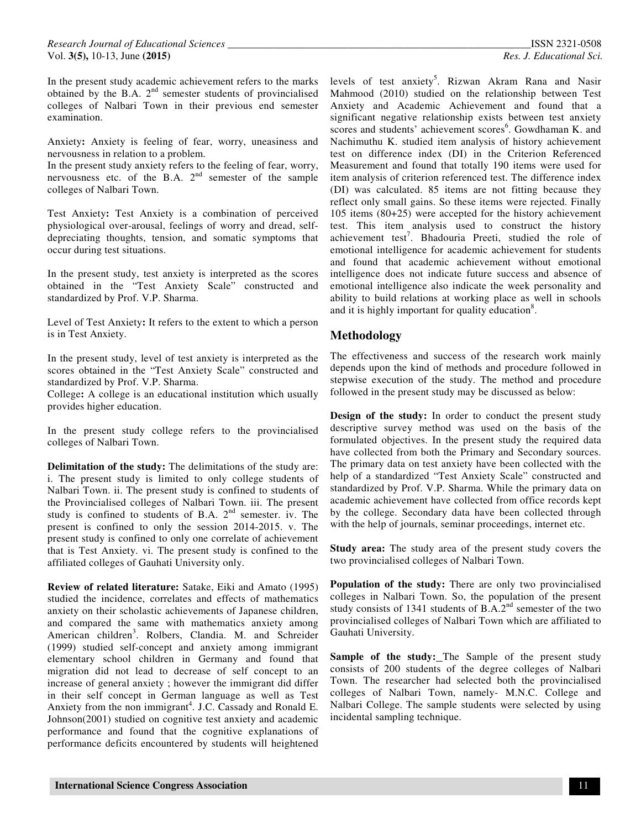In the present study academic achievement refers to the marks obtained by the B.A. 2<sup>nd</sup> semester students of provincialised colleges of Nalbari Town in their previous end semester examination.

Anxiety**:** Anxiety is feeling of fear, worry, uneasiness and nervousness in relation to a problem.

In the present study anxiety refers to the feeling of fear, worry, nervousness etc. of the B.A.  $2<sup>nd</sup>$  semester of the sample colleges of Nalbari Town.

Test Anxiety**:** Test Anxiety is a combination of perceived physiological over-arousal, feelings of worry and dread, selfdepreciating thoughts, tension, and somatic symptoms that occur during test situations.

In the present study, test anxiety is interpreted as the scores obtained in the "Test Anxiety Scale" constructed and standardized by Prof. V.P. Sharma.

Level of Test Anxiety**:** It refers to the extent to which a person is in Test Anxiety.

In the present study, level of test anxiety is interpreted as the scores obtained in the "Test Anxiety Scale" constructed and standardized by Prof. V.P. Sharma.

College**:** A college is an educational institution which usually provides higher education.

In the present study college refers to the provincialised colleges of Nalbari Town.

**Delimitation of the study:** The delimitations of the study are: i. The present study is limited to only college students of Nalbari Town. ii. The present study is confined to students of the Provincialised colleges of Nalbari Town. iii. The present study is confined to students of B.A.  $2<sup>nd</sup>$  semester. iv. The present is confined to only the session 2014-2015. v. The present study is confined to only one correlate of achievement that is Test Anxiety. vi. The present study is confined to the affiliated colleges of Gauhati University only.

**Review of related literature:** Satake, Eiki and Amato (1995) studied the incidence, correlates and effects of mathematics anxiety on their scholastic achievements of Japanese children, and compared the same with mathematics anxiety among American children<sup>3</sup>. Rolbers, Clandia. M. and Schreider (1999) studied self-concept and anxiety among immigrant elementary school children in Germany and found that migration did not lead to decrease of self concept to an increase of general anxiety ; however the immigrant did differ in their self concept in German language as well as Test Anxiety from the non immigrant<sup>4</sup>. J.C. Cassady and Ronald E. Johnson(2001) studied on cognitive test anxiety and academic performance and found that the cognitive explanations of performance deficits encountered by students will heightened

levels of test anxiety<sup>5</sup>. Rizwan Akram Rana and Nasir Mahmood (2010) studied on the relationship between Test Anxiety and Academic Achievement and found that a significant negative relationship exists between test anxiety scores and students' achievement scores<sup>6</sup>. Gowdhaman K. and Nachimuthu K. studied item analysis of history achievement test on difference index (DI) in the Criterion Referenced Measurement and found that totally 190 items were used for item analysis of criterion referenced test. The difference index (DI) was calculated. 85 items are not fitting because they reflect only small gains. So these items were rejected. Finally 105 items (80+25) were accepted for the history achievement test. This item analysis used to construct the history achievement test<sup>7</sup>. Bhadouria Preeti, studied the role of emotional intelligence for academic achievement for students and found that academic achievement without emotional intelligence does not indicate future success and absence of emotional intelligence also indicate the week personality and ability to build relations at working place as well in schools and it is highly important for quality education<sup>8</sup>.

# **Methodology**

The effectiveness and success of the research work mainly depends upon the kind of methods and procedure followed in stepwise execution of the study. The method and procedure followed in the present study may be discussed as below:

**Design of the study:** In order to conduct the present study descriptive survey method was used on the basis of the formulated objectives. In the present study the required data have collected from both the Primary and Secondary sources. The primary data on test anxiety have been collected with the help of a standardized "Test Anxiety Scale" constructed and standardized by Prof. V.P. Sharma. While the primary data on academic achievement have collected from office records kept by the college. Secondary data have been collected through with the help of journals, seminar proceedings, internet etc.

**Study area:** The study area of the present study covers the two provincialised colleges of Nalbari Town.

**Population of the study:** There are only two provincialised colleges in Nalbari Town. So, the population of the present study consists of 1341 students of B.A.2<sup>nd</sup> semester of the two provincialised colleges of Nalbari Town which are affiliated to Gauhati University.

Sample of the study: The Sample of the present study consists of 200 students of the degree colleges of Nalbari Town. The researcher had selected both the provincialised colleges of Nalbari Town, namely- M.N.C. College and Nalbari College. The sample students were selected by using incidental sampling technique.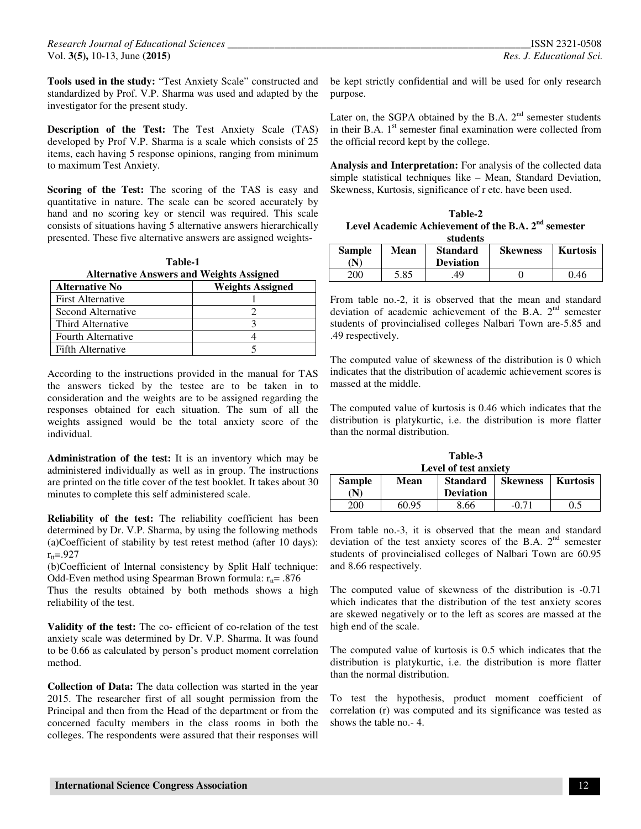**Tools used in the study:** "Test Anxiety Scale" constructed and standardized by Prof. V.P. Sharma was used and adapted by the investigator for the present study.

**Description of the Test:** The Test Anxiety Scale (TAS) developed by Prof V.P. Sharma is a scale which consists of 25 items, each having 5 response opinions, ranging from minimum to maximum Test Anxiety.

**Scoring of the Test:** The scoring of the TAS is easy and quantitative in nature. The scale can be scored accurately by hand and no scoring key or stencil was required. This scale consists of situations having 5 alternative answers hierarchically presented. These five alternative answers are assigned weights-

| Table-1                                         |  |  |  |
|-------------------------------------------------|--|--|--|
| <b>Alternative Answers and Weights Assigned</b> |  |  |  |

| <b>Alternative No</b>    | <b>Weights Assigned</b> |
|--------------------------|-------------------------|
| <b>First Alternative</b> |                         |
| Second Alternative       |                         |
| Third Alternative        |                         |
| Fourth Alternative       |                         |
| Fifth Alternative        |                         |

According to the instructions provided in the manual for TAS the answers ticked by the testee are to be taken in to consideration and the weights are to be assigned regarding the responses obtained for each situation. The sum of all the weights assigned would be the total anxiety score of the individual.

**Administration of the test:** It is an inventory which may be administered individually as well as in group. The instructions are printed on the title cover of the test booklet. It takes about 30 minutes to complete this self administered scale.

**Reliability of the test:** The reliability coefficient has been determined by Dr. V.P. Sharma, by using the following methods (a)Coefficient of stability by test retest method (after 10 days):  $r_{tt} = .927$ 

(b)Coefficient of Internal consistency by Split Half technique: Odd-Even method using Spearman Brown formula:  $r_{\text{t}} = .876$ 

Thus the results obtained by both methods shows a high reliability of the test.

**Validity of the test:** The co- efficient of co-relation of the test anxiety scale was determined by Dr. V.P. Sharma. It was found to be 0.66 as calculated by person's product moment correlation method.

**Collection of Data:** The data collection was started in the year 2015. The researcher first of all sought permission from the Principal and then from the Head of the department or from the concerned faculty members in the class rooms in both the colleges. The respondents were assured that their responses will be kept strictly confidential and will be used for only research purpose.

Later on, the SGPA obtained by the B.A.  $2<sup>nd</sup>$  semester students in their B.A.  $1<sup>st</sup>$  semester final examination were collected from the official record kept by the college.

**Analysis and Interpretation:** For analysis of the collected data simple statistical techniques like – Mean, Standard Deviation, Skewness, Kurtosis, significance of r etc. have been used.

| Table-2                                                         |  |  |
|-----------------------------------------------------------------|--|--|
| Level Academic Achievement of the B.A. 2 <sup>nd</sup> semester |  |  |
| students                                                        |  |  |

| <b>Sample</b><br>'N) | Mean | <b>Standard</b><br><b>Deviation</b> | <b>Skewness</b> | <b>Kurtosis</b> |
|----------------------|------|-------------------------------------|-----------------|-----------------|
| 200                  | 5.85 | 49                                  |                 | 0.46            |

From table no.-2, it is observed that the mean and standard deviation of academic achievement of the B.A.  $2<sup>nd</sup>$  semester students of provincialised colleges Nalbari Town are-5.85 and .49 respectively.

The computed value of skewness of the distribution is 0 which indicates that the distribution of academic achievement scores is massed at the middle.

The computed value of kurtosis is 0.46 which indicates that the distribution is platykurtic, i.e. the distribution is more flatter than the normal distribution.

| Table-3               |               |       |                  |                 |                 |
|-----------------------|---------------|-------|------------------|-----------------|-----------------|
| Level of test anxiety |               |       |                  |                 |                 |
|                       | <b>Sample</b> | Mean  | <b>Standard</b>  | <b>Skewness</b> | <b>Kurtosis</b> |
|                       |               |       | <b>Deviation</b> |                 |                 |
|                       | 200           | 60.95 | 8.66             | $-0.71$         | 0.5             |

From table no.-3, it is observed that the mean and standard deviation of the test anxiety scores of the B.A. 2<sup>nd</sup> semester students of provincialised colleges of Nalbari Town are 60.95 and 8.66 respectively.

The computed value of skewness of the distribution is -0.71 which indicates that the distribution of the test anxiety scores are skewed negatively or to the left as scores are massed at the high end of the scale.

The computed value of kurtosis is 0.5 which indicates that the distribution is platykurtic, i.e. the distribution is more flatter than the normal distribution.

To test the hypothesis, product moment coefficient of correlation (r) was computed and its significance was tested as shows the table no.- 4.